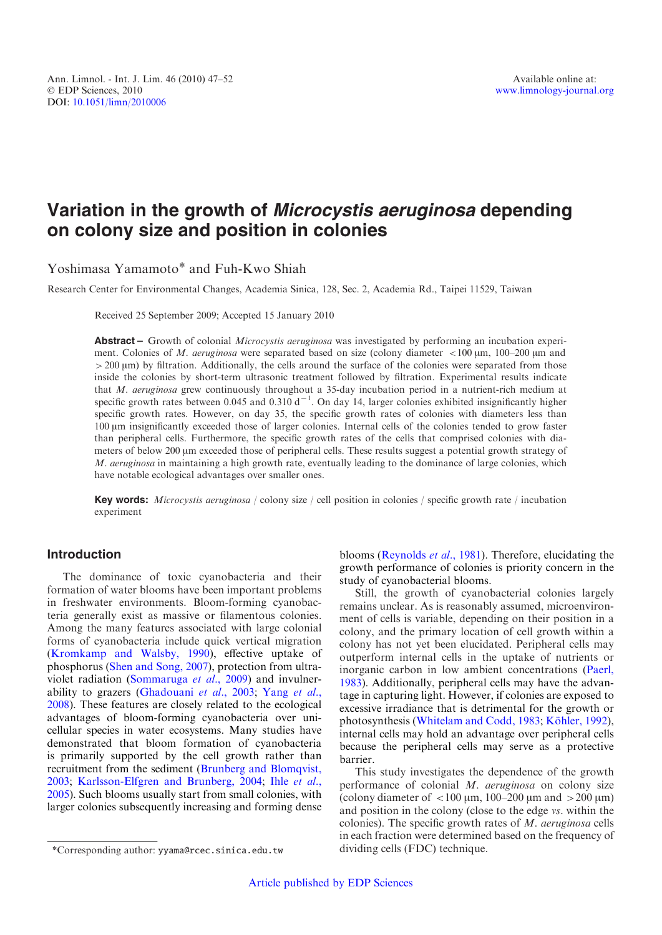# Variation in the growth of Microcystis aeruginosa depending on colony size and position in colonies

Yoshimasa Yamamoto\* and Fuh-Kwo Shiah

Research Center for Environmental Changes, Academia Sinica, 128, Sec. 2, Academia Rd., Taipei 11529, Taiwan

Received 25 September 2009; Accepted 15 January 2010

Abstract – Growth of colonial Microcystis aeruginosa was investigated by performing an incubation experiment. Colonies of M. aeruginosa were separated based on size (colony diameter  $\lt$ 100  $\mu$ m, 100–200  $\mu$ m and  $>200 \,\mathrm{\mu m}$ ) by filtration. Additionally, the cells around the surface of the colonies were separated from those inside the colonies by short-term ultrasonic treatment followed by filtration. Experimental results indicate that M. aeruginosa grew continuously throughout a 35-day incubation period in a nutrient-rich medium at specific growth rates between 0.045 and 0.310  $d^{-1}$ . On day 14, larger colonies exhibited insignificantly higher specific growth rates. However, on day 35, the specific growth rates of colonies with diameters less than 100 mm insignificantly exceeded those of larger colonies. Internal cells of the colonies tended to grow faster than peripheral cells. Furthermore, the specific growth rates of the cells that comprised colonies with diameters of below 200 µm exceeded those of peripheral cells. These results suggest a potential growth strategy of M. aeruginosa in maintaining a high growth rate, eventually leading to the dominance of large colonies, which have notable ecological advantages over smaller ones.

Key words: Microcystis aeruginosa / colony size / cell position in colonies / specific growth rate / incubation experiment

# Introduction

The dominance of toxic cyanobacteria and their formation of water blooms have been important problems in freshwater environments. Bloom-forming cyanobacteria generally exist as massive or filamentous colonies. Among the many features associated with large colonial forms of cyanobacteria include quick vertical migration ([Kromkamp and Walsby, 1990\)](#page-5-0), effective uptake of phosphorus [\(Shen and Song, 2007\)](#page-5-0), protection from ultraviolet radiation ([Sommaruga](#page-5-0) et al., 2009) and invulnerability to grazers [\(Ghadouani](#page-5-0) et al., 2003; [Yang](#page-5-0) et al., [2008](#page-5-0)). These features are closely related to the ecological advantages of bloom-forming cyanobacteria over unicellular species in water ecosystems. Many studies have demonstrated that bloom formation of cyanobacteria is primarily supported by the cell growth rather than recruitment from the sediment ([Brunberg and Blomqvist,](#page-5-0) [2003](#page-5-0); [Karlsson-Elfgren and Brunberg, 2004;](#page-5-0) Ihle [et al](#page-5-0)., [2005](#page-5-0)). Such blooms usually start from small colonies, with larger colonies subsequently increasing and forming dense

blooms ([Reynolds](#page-5-0) et al., 1981). Therefore, elucidating the growth performance of colonies is priority concern in the study of cyanobacterial blooms.

Still, the growth of cyanobacterial colonies largely remains unclear. As is reasonably assumed, microenvironment of cells is variable, depending on their position in a colony, and the primary location of cell growth within a colony has not yet been elucidated. Peripheral cells may outperform internal cells in the uptake of nutrients or inorganic carbon in low ambient concentrations ([Paerl,](#page-5-0) [1983](#page-5-0)). Additionally, peripheral cells may have the advantage in capturing light. However, if colonies are exposed to excessive irradiance that is detrimental for the growth or photosynthesis [\(Whitelam and Codd, 1983](#page-5-0); Köhler, 1992), internal cells may hold an advantage over peripheral cells because the peripheral cells may serve as a protective barrier.

This study investigates the dependence of the growth performance of colonial M. aeruginosa on colony size (colony diameter of  $\langle 100 \mu m, 100-200 \mu m \rangle$ ) and position in the colony (close to the edge vs. within the colonies). The specific growth rates of M. aeruginosa cells in each fraction were determined based on the frequency of

<sup>\*</sup>Corresponding author: yyama@rcec.sinica.edu.tw dividing cells (FDC) technique.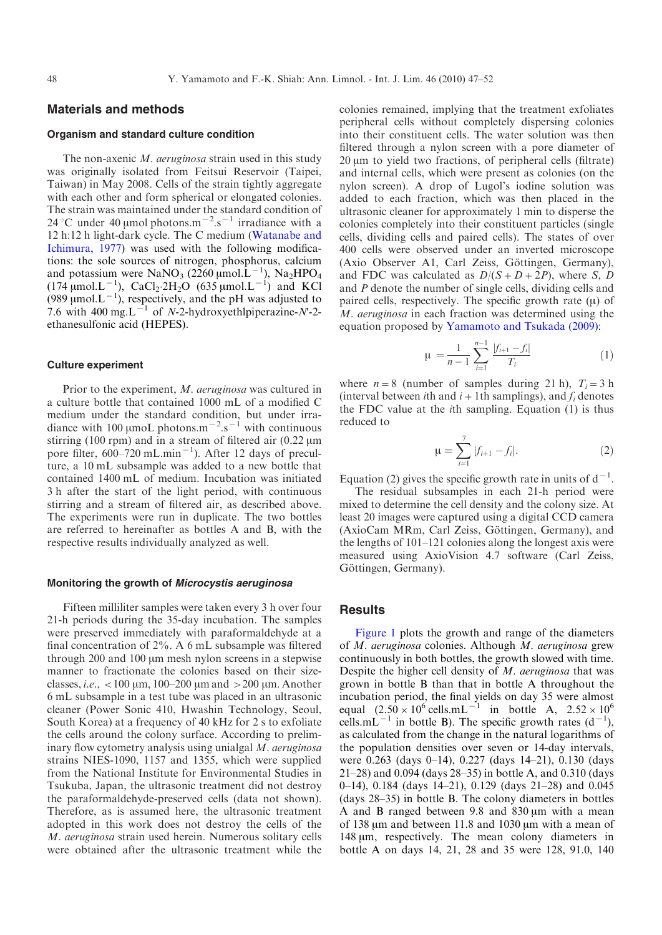# Materials and methods

## Organism and standard culture condition

The non-axenic M. *aeruginosa* strain used in this study was originally isolated from Feitsui Reservoir (Taipei, Taiwan) in May 2008. Cells of the strain tightly aggregate with each other and form spherical or elongated colonies. The strain was maintained under the standard condition of 24 °C under 40 µmol photons.m<sup> $-2$ </sup>.s<sup> $-1$ </sup> irradiance with a 12 h:12 h light-dark cycle. The C medium [\(Watanabe and](#page-5-0) [Ichimura, 1977\)](#page-5-0) was used with the following modifications: the sole sources of nitrogen, phosphorus, calcium and potassium were  $\text{NaNO}_3$  (2260 µmol. $\text{L}^{-1}$ ),  $\text{Na}_2\text{HPO}_4$  $(174 \,\mu \text{mol} \cdot \text{L}^{-1})$ , CaCl<sub>2</sub>·2H<sub>2</sub>O (635 µmol.L<sup>-1</sup>) and KCl (989 µmol. $L^{-1}$ ), respectively, and the pH was adjusted to 7.6 with 400 mg.L<sup> $-1$ </sup> of N-2-hydroxyethlpiperazine-N<sup>-2</sup>ethanesulfonic acid (HEPES).

#### Culture experiment

Prior to the experiment, M. aeruginosa was cultured in a culture bottle that contained 1000 mL of a modified C medium under the standard condition, but under irradiance with 100 µmoL photons.m<sup>-2</sup>.s<sup>-1</sup> with continuous stirring (100 rpm) and in a stream of filtered air (0.22  $\mu$ m pore filter,  $600-720$  mL.min<sup>-1</sup>). After 12 days of preculture, a 10 mL subsample was added to a new bottle that contained 1400 mL of medium. Incubation was initiated 3 h after the start of the light period, with continuous stirring and a stream of filtered air, as described above. The experiments were run in duplicate. The two bottles are referred to hereinafter as bottles A and B, with the respective results individually analyzed as well.

#### Monitoring the growth of Microcystis aeruginosa

Fifteen milliliter samples were taken every 3 h over four 21-h periods during the 35-day incubation. The samples were preserved immediately with paraformaldehyde at a final concentration of 2%. A 6 mL subsample was filtered through 200 and 100 µm mesh nylon screens in a stepwise manner to fractionate the colonies based on their sizeclasses, *i.e.*,  $\langle 100 \mu m, 100-200 \mu m \rangle$  and  $>200 \mu m$ . Another 6 mL subsample in a test tube was placed in an ultrasonic cleaner (Power Sonic 410, Hwashin Technology, Seoul, South Korea) at a frequency of 40 kHz for 2 s to exfoliate the cells around the colony surface. According to preliminary flow cytometry analysis using unialgal M. aeruginosa strains NIES-1090, 1157 and 1355, which were supplied from the National Institute for Environmental Studies in Tsukuba, Japan, the ultrasonic treatment did not destroy the paraformaldehyde-preserved cells (data not shown). Therefore, as is assumed here, the ultrasonic treatment adopted in this work does not destroy the cells of the M. aeruginosa strain used herein. Numerous solitary cells were obtained after the ultrasonic treatment while the

colonies remained, implying that the treatment exfoliates peripheral cells without completely dispersing colonies into their constituent cells. The water solution was then filtered through a nylon screen with a pore diameter of  $20 \mu m$  to yield two fractions, of peripheral cells (filtrate) and internal cells, which were present as colonies (on the nylon screen). A drop of Lugol's iodine solution was added to each fraction, which was then placed in the ultrasonic cleaner for approximately 1 min to disperse the colonies completely into their constituent particles (single cells, dividing cells and paired cells). The states of over 400 cells were observed under an inverted microscope (Axio Observer A1, Carl Zeiss, Göttingen, Germany), and FDC was calculated as  $D/(S+D+2P)$ , where S, D and P denote the number of single cells, dividing cells and paired cells, respectively. The specific growth rate  $(\mu)$  of M. aeruginosa in each fraction was determined using the equation proposed by [Yamamoto and Tsukada \(2009\)](#page-5-0):

$$
\mu = \frac{1}{n-1} \sum_{i=1}^{n-1} \frac{|f_{i+1} - f_i|}{T_i} \tag{1}
$$

where  $n=8$  (number of samples during 21 h),  $T_i=3$  h (interval between *i*th and  $i+1$ th samplings), and  $f_i$  denotes the FDC value at the ith sampling. Equation (1) is thus reduced to

$$
\mu = \sum_{i=1}^{7} |f_{i+1} - f_i|.
$$
 (2)

Equation (2) gives the specific growth rate in units of  $d^{-1}$ .

The residual subsamples in each 21-h period were mixed to determine the cell density and the colony size. At least 20 images were captured using a digital CCD camera (AxioCam MRm, Carl Zeiss, Göttingen, Germany), and the lengths of 101–121 colonies along the longest axis were measured using AxioVision 4.7 software (Carl Zeiss, Göttingen, Germany).

## **Results**

[Figure 1](#page-2-0) plots the growth and range of the diameters of M. aeruginosa colonies. Although M. aeruginosa grew continuously in both bottles, the growth slowed with time. Despite the higher cell density of M. aeruginosa that was grown in bottle B than that in bottle A throughout the incubation period, the final yields on day 35 were almost equal  $(2.50 \times 10^6 \text{ cells.mL}^{-1}$  in bottle A,  $2.52 \times 10^6$ cells.mL<sup>-1</sup> in bottle B). The specific growth rates  $(d^{-1})$ , as calculated from the change in the natural logarithms of the population densities over seven or 14-day intervals, were 0.263 (days 0–14), 0.227 (days 14–21), 0.130 (days 21–28) and 0.094 (days 28–35) in bottle A, and 0.310 (days 0–14), 0.184 (days 14–21), 0.129 (days 21–28) and 0.045 (days 28–35) in bottle B. The colony diameters in bottles A and B ranged between 9.8 and  $830 \,\mu m$  with a mean of 138  $\mu$ m and between 11.8 and 1030  $\mu$ m with a mean of 148 um, respectively. The mean colony diameters in bottle A on days 14, 21, 28 and 35 were 128, 91.0, 140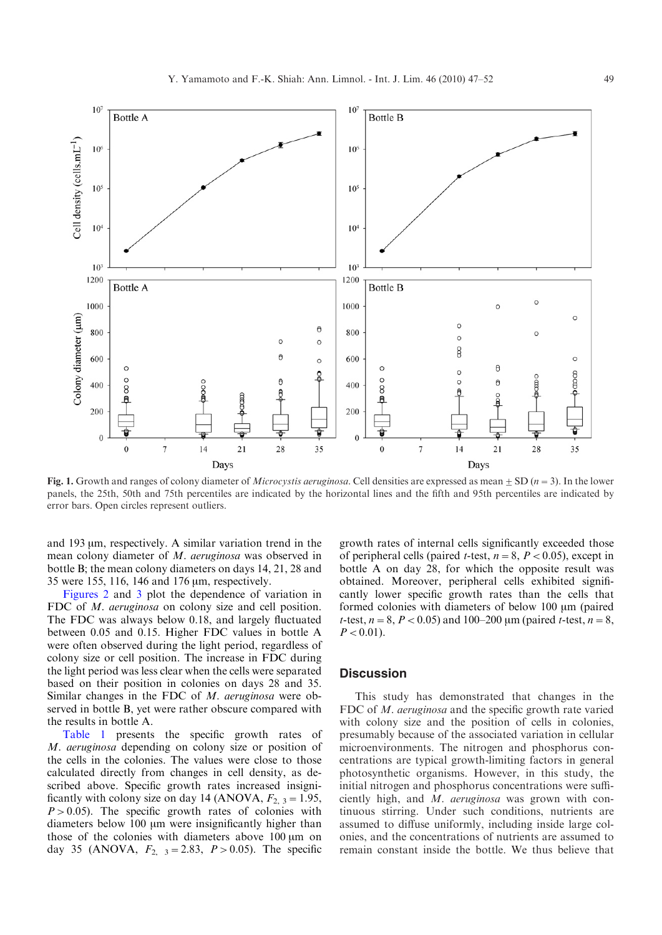<span id="page-2-0"></span>

Fig. 1. Growth and ranges of colony diameter of *Microcystis aeruginosa*. Cell densities are expressed as mean  $\pm$  SD ( $n=3$ ). In the lower panels, the 25th, 50th and 75th percentiles are indicated by the horizontal lines and the fifth and 95th percentiles are indicated by error bars. Open circles represent outliers.

and  $193 \mu m$ , respectively. A similar variation trend in the mean colony diameter of M. aeruginosa was observed in bottle B; the mean colony diameters on days 14, 21, 28 and 35 were 155, 116, 146 and 176  $\mu$ m, respectively.

[Figures 2](#page-3-0) and [3](#page-3-0) plot the dependence of variation in FDC of *M. aeruginosa* on colony size and cell position. The FDC was always below 0.18, and largely fluctuated between 0.05 and 0.15. Higher FDC values in bottle A were often observed during the light period, regardless of colony size or cell position. The increase in FDC during the light period was less clear when the cells were separated based on their position in colonies on days 28 and 35. Similar changes in the FDC of M. aeruginosa were observed in bottle B, yet were rather obscure compared with the results in bottle A.

[Table 1](#page-4-0) presents the specific growth rates of M. aeruginosa depending on colony size or position of the cells in the colonies. The values were close to those calculated directly from changes in cell density, as described above. Specific growth rates increased insignificantly with colony size on day 14 (ANOVA,  $F_{2, 3} = 1.95$ ,  $P > 0.05$ ). The specific growth rates of colonies with diameters below 100 µm were insignificantly higher than those of the colonies with diameters above  $100 \mu m$  on day 35 (ANOVA,  $F_{2,3} = 2.83$ ,  $P > 0.05$ ). The specific

growth rates of internal cells significantly exceeded those of peripheral cells (paired *t*-test,  $n=8$ ,  $P < 0.05$ ), except in bottle A on day 28, for which the opposite result was obtained. Moreover, peripheral cells exhibited significantly lower specific growth rates than the cells that formed colonies with diameters of below 100  $\mu$ m (paired t-test,  $n=8$ ,  $P < 0.05$ ) and 100–200 µm (paired t-test,  $n=8$ ,  $P < 0.01$ ).

### **Discussion**

This study has demonstrated that changes in the FDC of *M. aeruginosa* and the specific growth rate varied with colony size and the position of cells in colonies, presumably because of the associated variation in cellular microenvironments. The nitrogen and phosphorus concentrations are typical growth-limiting factors in general photosynthetic organisms. However, in this study, the initial nitrogen and phosphorus concentrations were sufficiently high, and M. aeruginosa was grown with continuous stirring. Under such conditions, nutrients are assumed to diffuse uniformly, including inside large colonies, and the concentrations of nutrients are assumed to remain constant inside the bottle. We thus believe that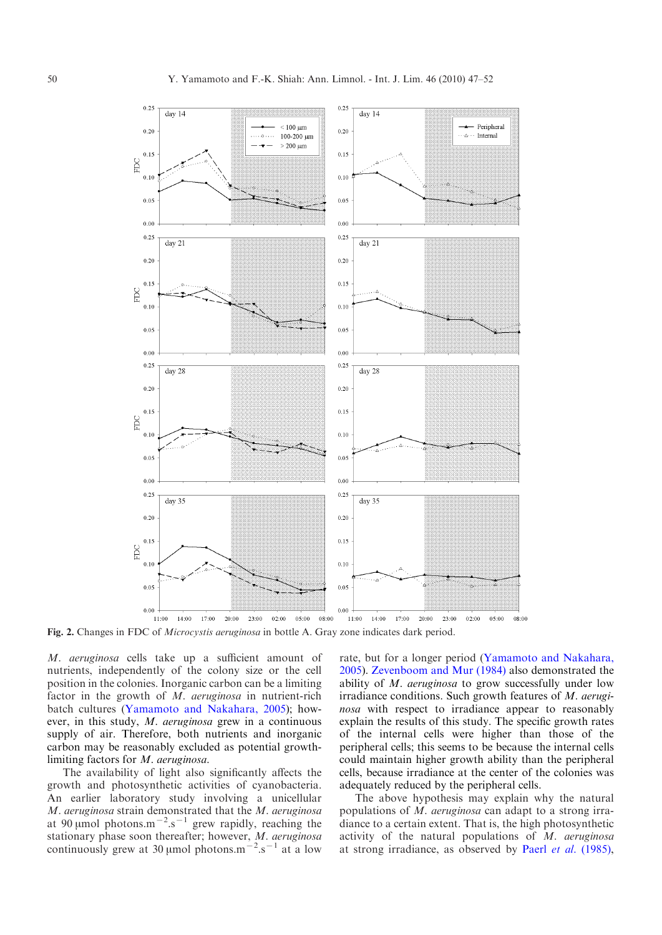<span id="page-3-0"></span>

Fig. 2. Changes in FDC of *Microcystis aeruginosa* in bottle A. Gray zone indicates dark period.

M. aeruginosa cells take up a sufficient amount of nutrients, independently of the colony size or the cell position in the colonies. Inorganic carbon can be a limiting factor in the growth of M. aeruginosa in nutrient-rich batch cultures [\(Yamamoto and Nakahara, 2005](#page-5-0)); however, in this study, M. aeruginosa grew in a continuous supply of air. Therefore, both nutrients and inorganic carbon may be reasonably excluded as potential growthlimiting factors for M. aeruginosa.

The availability of light also significantly affects the growth and photosynthetic activities of cyanobacteria. An earlier laboratory study involving a unicellular M. aeruginosa strain demonstrated that the M. aeruginosa at 90 µmol photons.m<sup>-2</sup>.s<sup>-1</sup> grew rapidly, reaching the stationary phase soon thereafter; however, M. aeruginosa continuously grew at 30 µmol photons.m<sup> $-2$ </sup>.s<sup> $-1$ </sup> at a low rate, but for a longer period ([Yamamoto and Nakahara,](#page-5-0) [2005](#page-5-0)). [Zevenboom and Mur \(1984\)](#page-5-0) also demonstrated the ability of  $M$ . aeruginosa to grow successfully under low irradiance conditions. Such growth features of M. aeruginosa with respect to irradiance appear to reasonably explain the results of this study. The specific growth rates of the internal cells were higher than those of the peripheral cells; this seems to be because the internal cells could maintain higher growth ability than the peripheral cells, because irradiance at the center of the colonies was adequately reduced by the peripheral cells.

The above hypothesis may explain why the natural populations of M. aeruginosa can adapt to a strong irradiance to a certain extent. That is, the high photosynthetic activity of the natural populations of  $M$ . aeruginosa at strong irradiance, as observed by Paerl et al. [\(1985\),](#page-5-0)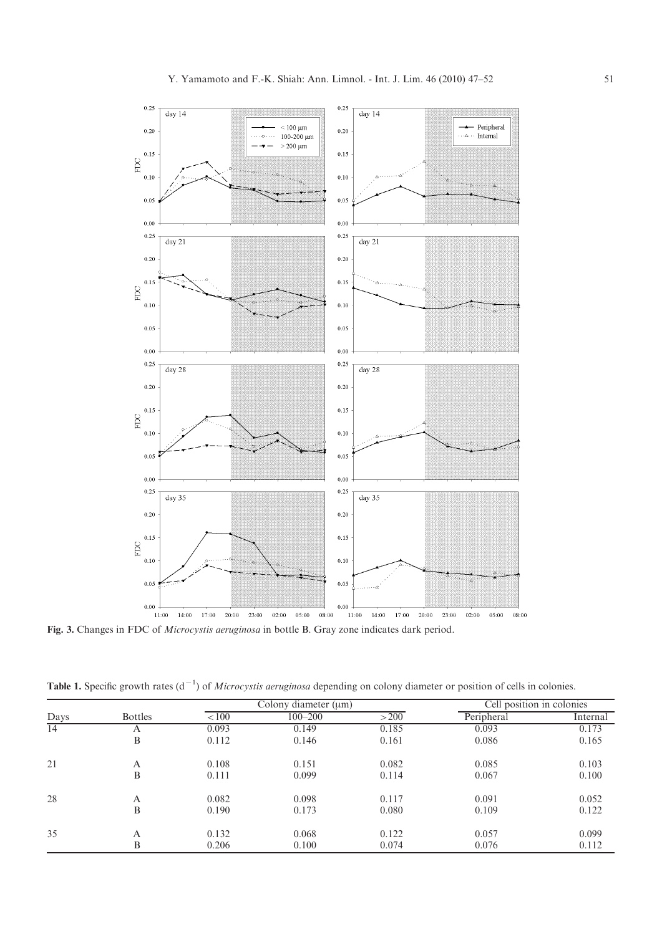<span id="page-4-0"></span>

Table 1. Specific growth rates  $(d^{-1})$  of *Microcystis aeruginosa* depending on colony diameter or position of cells in colonies.

| Days | <b>Bottles</b> | Colony diameter $(\mu m)$ |             |       | Cell position in colonies |          |
|------|----------------|---------------------------|-------------|-------|---------------------------|----------|
|      |                | < 100                     | $100 - 200$ | >200  | Peripheral                | Internal |
| 14   | А              | 0.093                     | 0.149       | 0.185 | 0.093                     | 0.173    |
|      | B              | 0.112                     | 0.146       | 0.161 | 0.086                     | 0.165    |
| 21   | A              | 0.108                     | 0.151       | 0.082 | 0.085                     | 0.103    |
|      | B              | 0.111                     | 0.099       | 0.114 | 0.067                     | 0.100    |
| 28   | A              | 0.082                     | 0.098       | 0.117 | 0.091                     | 0.052    |
|      | B              | 0.190                     | 0.173       | 0.080 | 0.109                     | 0.122    |
| 35   | A              | 0.132                     | 0.068       | 0.122 | 0.057                     | 0.099    |
|      | B              | 0.206                     | 0.100       | 0.074 | 0.076                     | 0.112    |